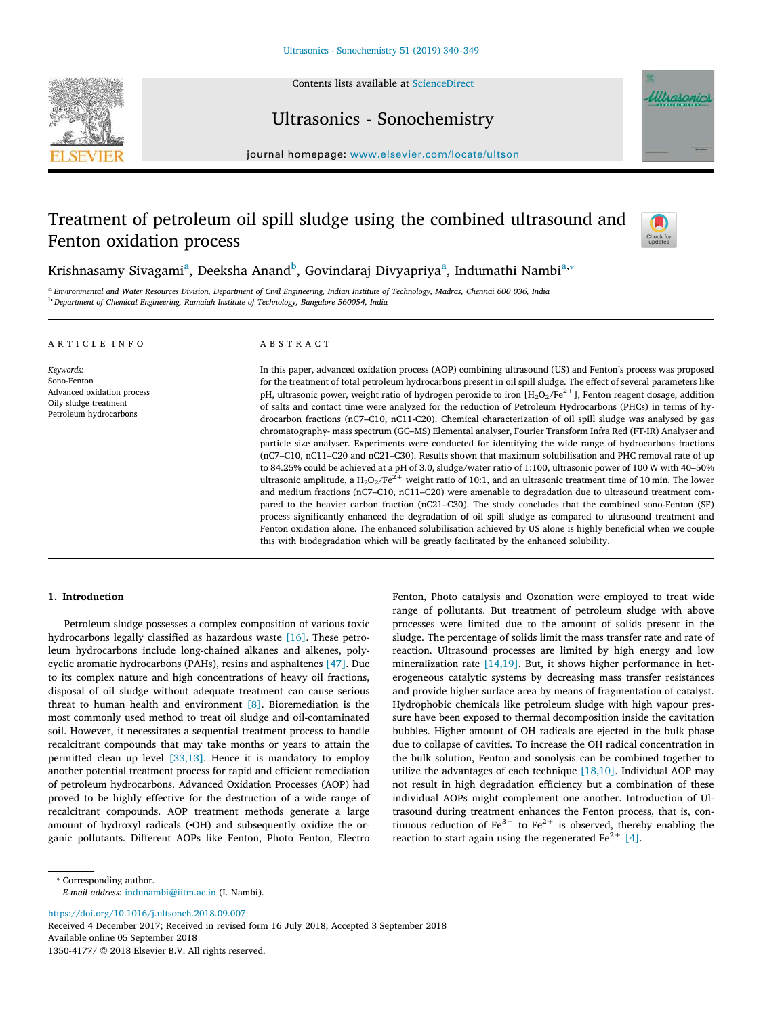

Contents lists available at [ScienceDirect](http://www.sciencedirect.com/science/journal/13504177)

## Ultrasonics - Sonochemistry



journal homepage: [www.elsevier.com/locate/ultson](https://www.elsevier.com/locate/ultson)

# Treatment of petroleum oil spill sludge using the combined ultrasound and Fenton oxidation process



Krishn[a](#page-0-0)samy Sivagami<sup>a</sup>, Deeksha Anand<sup>[b](#page-0-1)</sup>, Govindaraj Divyapriya<sup>a</sup>, Indumathi Nambi<sup>a,</sup>\*

<span id="page-0-1"></span><span id="page-0-0"></span>a *Environmental and Water Resources Division, Department of Civil Engineering, Indian Institute of Technology, Madras, Chennai 600 036, India* b *Department of Chemical Engineering, Ramaiah Institute of Technology, Bangalore 560054, India*

## ARTICLE INFO

*Keywords:* Sono-Fenton Advanced oxidation process Oily sludge treatment Petroleum hydrocarbons

## ABSTRACT

In this paper, advanced oxidation process (AOP) combining ultrasound (US) and Fenton's process was proposed for the treatment of total petroleum hydrocarbons present in oil spill sludge. The effect of several parameters like pH, ultrasonic power, weight ratio of hydrogen peroxide to iron  $[H_2O_2/Fe^{2+}]$ , Fenton reagent dosage, addition of salts and contact time were analyzed for the reduction of Petroleum Hydrocarbons (PHCs) in terms of hydrocarbon fractions (nC7–C10, nC11-C20). Chemical characterization of oil spill sludge was analysed by gas chromatography- mass spectrum (GC–MS) Elemental analyser, Fourier Transform Infra Red (FT-IR) Analyser and particle size analyser. Experiments were conducted for identifying the wide range of hydrocarbons fractions (nC7–C10, nC11–C20 and nC21–C30). Results shown that maximum solubilisation and PHC removal rate of up to 84.25% could be achieved at a pH of 3.0, sludge/water ratio of 1:100, ultrasonic power of 100 W with 40–50% ultrasonic amplitude, a  $H_2O_2/Fe^{2+}$  weight ratio of 10:1, and an ultrasonic treatment time of 10 min. The lower and medium fractions (nC7–C10, nC11–C20) were amenable to degradation due to ultrasound treatment compared to the heavier carbon fraction (nC21–C30). The study concludes that the combined sono-Fenton (SF) process significantly enhanced the degradation of oil spill sludge as compared to ultrasound treatment and Fenton oxidation alone. The enhanced solubilisation achieved by US alone is highly beneficial when we couple this with biodegradation which will be greatly facilitated by the enhanced solubility.

## **1. Introduction**

Petroleum sludge possesses a complex composition of various toxic hydrocarbons legally classified as hazardous waste [\[16\].](#page-8-0) These petroleum hydrocarbons include long-chained alkanes and alkenes, polycyclic aromatic hydrocarbons (PAHs), resins and asphaltenes [\[47\]](#page-9-0). Due to its complex nature and high concentrations of heavy oil fractions, disposal of oil sludge without adequate treatment can cause serious threat to human health and environment [\[8\]](#page-8-1). Bioremediation is the most commonly used method to treat oil sludge and oil-contaminated soil. However, it necessitates a sequential treatment process to handle recalcitrant compounds that may take months or years to attain the permitted clean up level [\[33,13\].](#page-8-2) Hence it is mandatory to employ another potential treatment process for rapid and efficient remediation of petroleum hydrocarbons. Advanced Oxidation Processes (AOP) had proved to be highly effective for the destruction of a wide range of recalcitrant compounds. AOP treatment methods generate a large amount of hydroxyl radicals (•OH) and subsequently oxidize the organic pollutants. Different AOPs like Fenton, Photo Fenton, Electro Fenton, Photo catalysis and Ozonation were employed to treat wide range of pollutants. But treatment of petroleum sludge with above processes were limited due to the amount of solids present in the sludge. The percentage of solids limit the mass transfer rate and rate of reaction. Ultrasound processes are limited by high energy and low mineralization rate [\[14,19\].](#page-8-3) But, it shows higher performance in heterogeneous catalytic systems by decreasing mass transfer resistances and provide higher surface area by means of fragmentation of catalyst. Hydrophobic chemicals like petroleum sludge with high vapour pressure have been exposed to thermal decomposition inside the cavitation bubbles. Higher amount of OH radicals are ejected in the bulk phase due to collapse of cavities. To increase the OH radical concentration in the bulk solution, Fenton and sonolysis can be combined together to utilize the advantages of each technique [\[18,10\]](#page-8-4). Individual AOP may not result in high degradation efficiency but a combination of these individual AOPs might complement one another. Introduction of Ultrasound during treatment enhances the Fenton process, that is, continuous reduction of  $Fe^{3+}$  to  $Fe^{2+}$  is observed, thereby enabling the reaction to start again using the regenerated  $Fe<sup>2+</sup>$  [\[4\]](#page-8-5).

*E-mail address:* [indunambi@iitm.ac.in](mailto:indunambi@iitm.ac.in) (I. Nambi).

<https://doi.org/10.1016/j.ultsonch.2018.09.007>

Received 4 December 2017; Received in revised form 16 July 2018; Accepted 3 September 2018 Available online 05 September 2018 1350-4177/ © 2018 Elsevier B.V. All rights reserved.

<span id="page-0-2"></span><sup>⁎</sup> Corresponding author.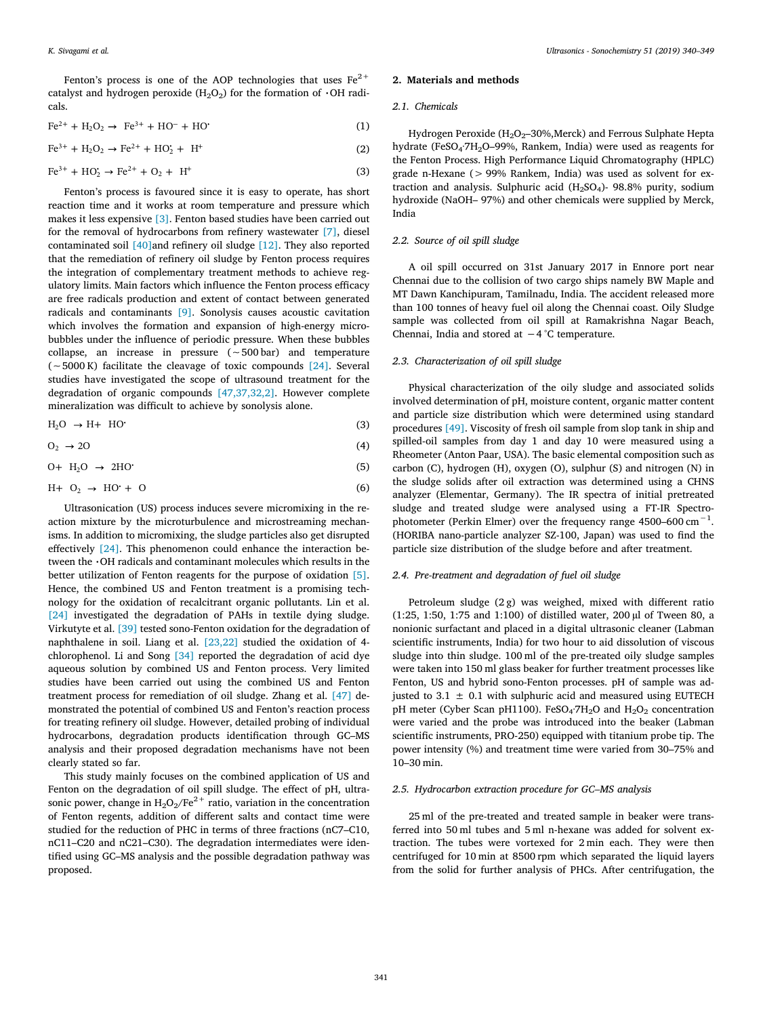Fenton's process is one of the AOP technologies that uses  $Fe^{2+}$ catalyst and hydrogen peroxide ( $H_2O_2$ ) for the formation of  $\cdot$ OH radicals.

$$
\text{Fe}^{2+} + \text{H}_2\text{O}_2 \rightarrow \text{Fe}^{3+} + \text{HO}^- + \text{HO}^{\bullet} \tag{1}
$$

$$
\text{Fe}^{3+} + \text{H}_2\text{O}_2 \rightarrow \text{Fe}^{2+} + \text{HO}_2^{\star} + \text{H}^{\star} \tag{2}
$$

$$
\text{Fe}^{3+} + \text{HO}_2^{\star} \to \text{Fe}^{2+} + \text{O}_2 + \text{H}^{\star} \tag{3}
$$

Fenton's process is favoured since it is easy to operate, has short reaction time and it works at room temperature and pressure which makes it less expensive [\[3\]](#page-8-6). Fenton based studies have been carried out for the removal of hydrocarbons from refinery wastewater [\[7\]](#page-8-7), diesel contaminated soil [\[40\]a](#page-8-8)nd refinery oil sludge [\[12\]](#page-8-9). They also reported that the remediation of refinery oil sludge by Fenton process requires the integration of complementary treatment methods to achieve regulatory limits. Main factors which influence the Fenton process efficacy are free radicals production and extent of contact between generated radicals and contaminants [\[9\].](#page-8-10) Sonolysis causes acoustic cavitation which involves the formation and expansion of high-energy microbubbles under the influence of periodic pressure. When these bubbles collapse, an increase in pressure (∼500 bar) and temperature (∼5000 K) facilitate the cleavage of toxic compounds [\[24\].](#page-8-11) Several studies have investigated the scope of ultrasound treatment for the degradation of organic compounds [\[47,37,32,2\].](#page-9-0) However complete mineralization was difficult to achieve by sonolysis alone.

$$
H_2O \rightarrow H + HO^*(1)
$$
 (3)

$$
O_2 \to 2O \tag{4}
$$

$$
0 + H_2O \rightarrow 2HO'
$$
 (5)

$$
H + O_2 \rightarrow HO^{\star} + O \tag{6}
$$

Ultrasonication (US) process induces severe micromixing in the reaction mixture by the microturbulence and microstreaming mechanisms. In addition to micromixing, the sludge particles also get disrupted effectively [\[24\]](#page-8-11). This phenomenon could enhance the interaction between the  $\cdot$ OH radicals and contaminant molecules which results in the better utilization of Fenton reagents for the purpose of oxidation [\[5\]](#page-8-12). Hence, the combined US and Fenton treatment is a promising technology for the oxidation of recalcitrant organic pollutants. Lin et al. [\[24\]](#page-8-11) investigated the degradation of PAHs in textile dying sludge. Virkutyte et al. [\[39\]](#page-8-13) tested sono-Fenton oxidation for the degradation of naphthalene in soil. Liang et al. [\[23,22\]](#page-8-14) studied the oxidation of 4 chlorophenol. Li and Song [\[34\]](#page-8-15) reported the degradation of acid dye aqueous solution by combined US and Fenton process. Very limited studies have been carried out using the combined US and Fenton treatment process for remediation of oil sludge. Zhang et al. [\[47\]](#page-9-0) demonstrated the potential of combined US and Fenton's reaction process for treating refinery oil sludge. However, detailed probing of individual hydrocarbons, degradation products identification through GC–MS analysis and their proposed degradation mechanisms have not been clearly stated so far.

This study mainly focuses on the combined application of US and Fenton on the degradation of oil spill sludge. The effect of pH, ultrasonic power, change in  $H_2O_2/Fe^{2+}$  ratio, variation in the concentration of Fenton regents, addition of different salts and contact time were studied for the reduction of PHC in terms of three fractions (nC7–C10, nC11–C20 and nC21–C30). The degradation intermediates were identified using GC–MS analysis and the possible degradation pathway was proposed.

#### **2. Materials and methods**

#### *2.1. Chemicals*

Hydrogen Peroxide ( $H_2O_2$ –30%,Merck) and Ferrous Sulphate Hepta hydrate (FeSO<sub>4</sub>·7H<sub>2</sub>O-99%, Rankem, India) were used as reagents for the Fenton Process. High Performance Liquid Chromatography (HPLC) grade n-Hexane (> 99% Rankem, India) was used as solvent for extraction and analysis. Sulphuric acid  $(H<sub>2</sub>SO<sub>4</sub>)$ - 98.8% purity, sodium hydroxide (NaOH– 97%) and other chemicals were supplied by Merck, India

#### *2.2. Source of oil spill sludge*

A oil spill occurred on 31st January 2017 in Ennore port near Chennai due to the collision of two cargo ships namely BW Maple and MT Dawn Kanchipuram, Tamilnadu, India. The accident released more than 100 tonnes of heavy fuel oil along the Chennai coast. Oily Sludge sample was collected from oil spill at Ramakrishna Nagar Beach, Chennai, India and stored at −4 °C temperature.

#### *2.3. Characterization of oil spill sludge*

Physical characterization of the oily sludge and associated solids involved determination of pH, moisture content, organic matter content and particle size distribution which were determined using standard procedures [\[49\]](#page-9-1). Viscosity of fresh oil sample from slop tank in ship and spilled-oil samples from day 1 and day 10 were measured using a Rheometer (Anton Paar, USA). The basic elemental composition such as carbon (C), hydrogen (H), oxygen (O), sulphur (S) and nitrogen (N) in the sludge solids after oil extraction was determined using a CHNS analyzer (Elementar, Germany). The IR spectra of initial pretreated sludge and treated sludge were analysed using a FT-IR Spectrophotometer (Perkin Elmer) over the frequency range 4500–600  $cm^{-1}$ . (HORIBA nano-particle analyzer SZ-100, Japan) was used to find the particle size distribution of the sludge before and after treatment.

#### *2.4. Pre-treatment and degradation of fuel oil sludge*

Petroleum sludge (2 g) was weighed, mixed with different ratio (1:25, 1:50, 1:75 and 1:100) of distilled water, 200 µl of Tween 80, a nonionic surfactant and placed in a digital ultrasonic cleaner (Labman scientific instruments, India) for two hour to aid dissolution of viscous sludge into thin sludge. 100 ml of the pre-treated oily sludge samples were taken into 150 ml glass beaker for further treatment processes like Fenton, US and hybrid sono-Fenton processes. pH of sample was adjusted to 3.1  $\pm$  0.1 with sulphuric acid and measured using EUTECH pH meter (Cyber Scan pH1100). FeSO<sub>4</sub>:7H<sub>2</sub>O and H<sub>2</sub>O<sub>2</sub> concentration were varied and the probe was introduced into the beaker (Labman scientific instruments, PRO-250) equipped with titanium probe tip. The power intensity (%) and treatment time were varied from 30–75% and 10–30 min.

### *2.5. Hydrocarbon extraction procedure for GC–MS analysis*

25 ml of the pre-treated and treated sample in beaker were transferred into 50 ml tubes and 5 ml n-hexane was added for solvent extraction. The tubes were vortexed for 2 min each. They were then centrifuged for 10 min at 8500 rpm which separated the liquid layers from the solid for further analysis of PHCs. After centrifugation, the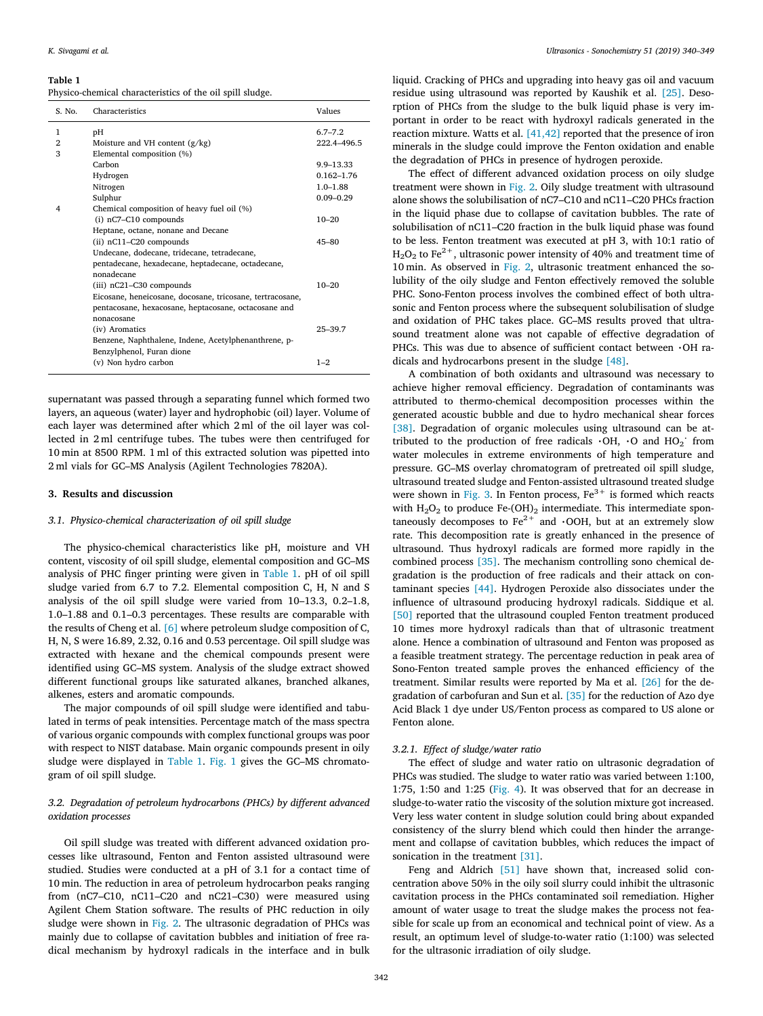#### <span id="page-2-0"></span>**Table 1**

Physico-chemical characteristics of the oil spill sludge.

| S. No. | Characteristics                                           | Values         |
|--------|-----------------------------------------------------------|----------------|
| 1      | pН                                                        | $6.7 - 7.2$    |
| 2      | Moisture and VH content $(g/kg)$                          | 222.4-496.5    |
| 3      | Elemental composition (%)                                 |                |
|        | Carbon                                                    | 9.9-13.33      |
|        | Hydrogen                                                  | $0.162 - 1.76$ |
|        | Nitrogen                                                  | $1.0 - 1.88$   |
|        | Sulphur                                                   | $0.09 - 0.29$  |
| 4      | Chemical composition of heavy fuel oil (%)                |                |
|        | (i) nC7-C10 compounds                                     | $10 - 20$      |
|        | Heptane, octane, nonane and Decane                        |                |
|        | (ii) nC11-C20 compounds                                   | $45 - 80$      |
|        | Undecane, dodecane, tridecane, tetradecane,               |                |
|        | pentadecane, hexadecane, heptadecane, octadecane,         |                |
|        | nonadecane                                                |                |
|        | (iii) nC21-C30 compounds                                  | $10 - 20$      |
|        | Eicosane, heneicosane, docosane, tricosane, tertracosane, |                |
|        | pentacosane, hexacosane, heptacosane, octacosane and      |                |
|        | nonacosane                                                |                |
|        | (iv) Aromatics                                            | $25 - 39.7$    |
|        | Benzene, Naphthalene, Indene, Acetylphenanthrene, p-      |                |
|        | Benzylphenol, Furan dione                                 |                |
|        | (v) Non hydro carbon                                      | $1 - 2$        |
|        |                                                           |                |

supernatant was passed through a separating funnel which formed two layers, an aqueous (water) layer and hydrophobic (oil) layer. Volume of each layer was determined after which 2 ml of the oil layer was collected in 2 ml centrifuge tubes. The tubes were then centrifuged for 10 min at 8500 RPM. 1 ml of this extracted solution was pipetted into 2 ml vials for GC–MS Analysis (Agilent Technologies 7820A).

#### **3. Results and discussion**

#### *3.1. Physico-chemical characterization of oil spill sludge*

The physico-chemical characteristics like pH, moisture and VH content, viscosity of oil spill sludge, elemental composition and GC–MS analysis of PHC finger printing were given in [Table 1.](#page-2-0) pH of oil spill sludge varied from 6.7 to 7.2. Elemental composition C, H, N and S analysis of the oil spill sludge were varied from 10–13.3, 0.2–1.8, 1.0–1.88 and 0.1–0.3 percentages. These results are comparable with the results of Cheng et al. [\[6\]](#page-8-16) where petroleum sludge composition of C, H, N, S were 16.89, 2.32, 0.16 and 0.53 percentage. Oil spill sludge was extracted with hexane and the chemical compounds present were identified using GC–MS system. Analysis of the sludge extract showed different functional groups like saturated alkanes, branched alkanes, alkenes, esters and aromatic compounds.

The major compounds of oil spill sludge were identified and tabulated in terms of peak intensities. Percentage match of the mass spectra of various organic compounds with complex functional groups was poor with respect to NIST database. Main organic compounds present in oily sludge were displayed in [Table 1](#page-2-0). [Fig. 1](#page-3-0) gives the GC–MS chromatogram of oil spill sludge.

## *3.2. Degradation of petroleum hydrocarbons (PHCs) by different advanced oxidation processes*

Oil spill sludge was treated with different advanced oxidation processes like ultrasound, Fenton and Fenton assisted ultrasound were studied. Studies were conducted at a pH of 3.1 for a contact time of 10 min. The reduction in area of petroleum hydrocarbon peaks ranging from (nC7–C10, nC11–C20 and nC21–C30) were measured using Agilent Chem Station software. The results of PHC reduction in oily sludge were shown in [Fig. 2](#page-3-1). The ultrasonic degradation of PHCs was mainly due to collapse of cavitation bubbles and initiation of free radical mechanism by hydroxyl radicals in the interface and in bulk

liquid. Cracking of PHCs and upgrading into heavy gas oil and vacuum residue using ultrasound was reported by Kaushik et al. [\[25\]](#page-8-17). Desorption of PHCs from the sludge to the bulk liquid phase is very important in order to be react with hydroxyl radicals generated in the reaction mixture. Watts et al. [\[41,42\]](#page-8-18) reported that the presence of iron minerals in the sludge could improve the Fenton oxidation and enable the degradation of PHCs in presence of hydrogen peroxide.

The effect of different advanced oxidation process on oily sludge treatment were shown in [Fig. 2.](#page-3-1) Oily sludge treatment with ultrasound alone shows the solubilisation of nC7–C10 and nC11–C20 PHCs fraction in the liquid phase due to collapse of cavitation bubbles. The rate of solubilisation of nC11–C20 fraction in the bulk liquid phase was found to be less. Fenton treatment was executed at pH 3, with 10:1 ratio of  $H<sub>2</sub>O<sub>2</sub>$  to Fe<sup>2+</sup>, ultrasonic power intensity of 40% and treatment time of 10 min. As observed in [Fig. 2](#page-3-1), ultrasonic treatment enhanced the solubility of the oily sludge and Fenton effectively removed the soluble PHC. Sono-Fenton process involves the combined effect of both ultrasonic and Fenton process where the subsequent solubilisation of sludge and oxidation of PHC takes place. GC–MS results proved that ultrasound treatment alone was not capable of effective degradation of PHCs. This was due to absence of sufficient contact between  $\cdot$ OH radicals and hydrocarbons present in the sludge [\[48\].](#page-9-2)

A combination of both oxidants and ultrasound was necessary to achieve higher removal efficiency. Degradation of contaminants was attributed to thermo-chemical decomposition processes within the generated acoustic bubble and due to hydro mechanical shear forces [\[38\]](#page-8-19). Degradation of organic molecules using ultrasound can be attributed to the production of free radicals  $\cdot$ OH,  $\cdot$ O and HO<sub>2</sub><sup>·</sup> from water molecules in extreme environments of high temperature and pressure. GC–MS overlay chromatogram of pretreated oil spill sludge, ultrasound treated sludge and Fenton-assisted ultrasound treated sludge were shown in [Fig. 3.](#page-4-0) In Fenton process,  $Fe<sup>3+</sup>$  is formed which reacts with  $H_2O_2$  to produce Fe-(OH)<sub>2</sub> intermediate. This intermediate spontaneously decomposes to  $Fe^{2+}$  and  $\cdot$ OOH, but at an extremely slow rate. This decomposition rate is greatly enhanced in the presence of ultrasound. Thus hydroxyl radicals are formed more rapidly in the combined process [\[35\]](#page-8-20). The mechanism controlling sono chemical degradation is the production of free radicals and their attack on contaminant species [\[44\].](#page-8-21) Hydrogen Peroxide also dissociates under the influence of ultrasound producing hydroxyl radicals. Siddique et al. [\[50\]](#page-9-3) reported that the ultrasound coupled Fenton treatment produced 10 times more hydroxyl radicals than that of ultrasonic treatment alone. Hence a combination of ultrasound and Fenton was proposed as a feasible treatment strategy. The percentage reduction in peak area of Sono-Fenton treated sample proves the enhanced efficiency of the treatment. Similar results were reported by Ma et al. [\[26\]](#page-8-22) for the degradation of carbofuran and Sun et al. [\[35\]](#page-8-20) for the reduction of Azo dye Acid Black 1 dye under US/Fenton process as compared to US alone or Fenton alone.

#### *3.2.1. Effect of sludge/water ratio*

The effect of sludge and water ratio on ultrasonic degradation of PHCs was studied. The sludge to water ratio was varied between 1:100, 1:75, 1:50 and 1:25 [\(Fig. 4\)](#page-4-1). It was observed that for an decrease in sludge-to-water ratio the viscosity of the solution mixture got increased. Very less water content in sludge solution could bring about expanded consistency of the slurry blend which could then hinder the arrangement and collapse of cavitation bubbles, which reduces the impact of sonication in the treatment [\[31\].](#page-8-23)

Feng and Aldrich [\[51\]](#page-9-4) have shown that, increased solid concentration above 50% in the oily soil slurry could inhibit the ultrasonic cavitation process in the PHCs contaminated soil remediation. Higher amount of water usage to treat the sludge makes the process not feasible for scale up from an economical and technical point of view. As a result, an optimum level of sludge-to-water ratio (1:100) was selected for the ultrasonic irradiation of oily sludge.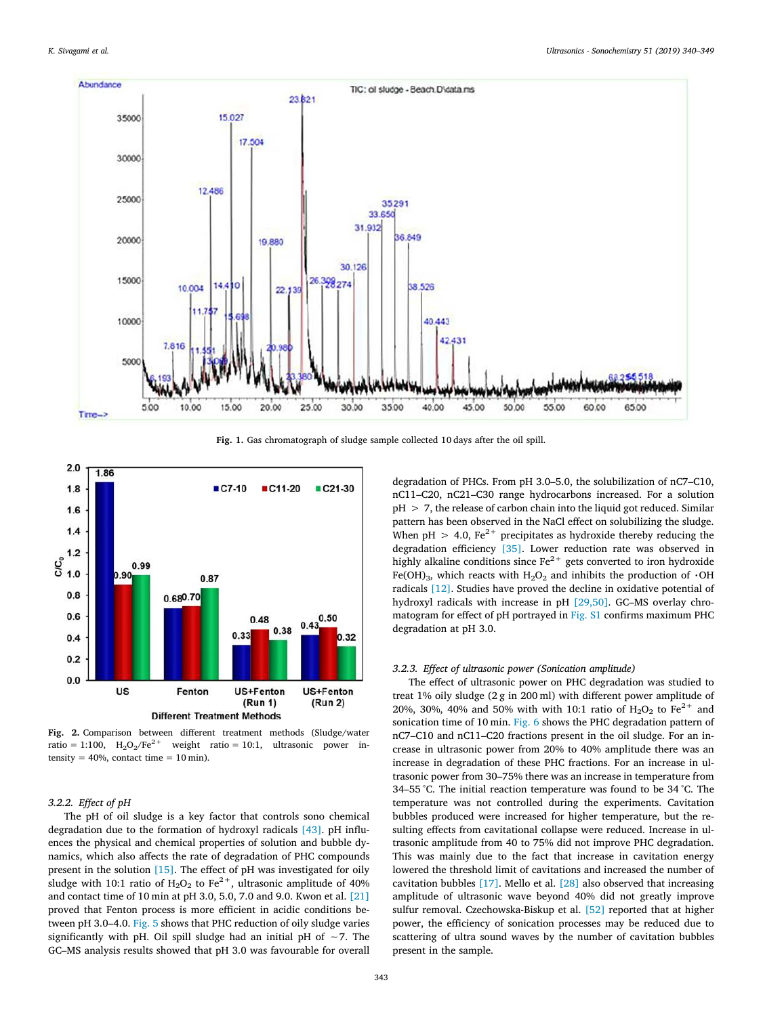<span id="page-3-0"></span>

**Fig. 1.** Gas chromatograph of sludge sample collected 10 days after the oil spill.

<span id="page-3-1"></span>

**Fig. 2.** Comparison between different treatment methods (Sludge/water ratio = 1:100,  $H_2O_2/Fe^{2+}$  weight ratio = 10:1, ultrasonic power intensity =  $40\%$ , contact time =  $10$  min).

### *3.2.2. Effect of pH*

The pH of oil sludge is a key factor that controls sono chemical degradation due to the formation of hydroxyl radicals [\[43\]](#page-8-24). pH influences the physical and chemical properties of solution and bubble dynamics, which also affects the rate of degradation of PHC compounds present in the solution [\[15\]](#page-8-25). The effect of pH was investigated for oily sludge with 10:1 ratio of  $H_2O_2$  to Fe<sup>2+</sup>, ultrasonic amplitude of 40% and contact time of 10 min at pH 3.0, 5.0, 7.0 and 9.0. Kwon et al. [\[21\]](#page-8-26) proved that Fenton process is more efficient in acidic conditions between pH 3.0–4.0. [Fig. 5](#page-5-0) shows that PHC reduction of oily sludge varies significantly with pH. Oil spill sludge had an initial pH of ∼7. The GC–MS analysis results showed that pH 3.0 was favourable for overall

degradation of PHCs. From pH 3.0–5.0, the solubilization of nC7–C10, nC11–C20, nC21–C30 range hydrocarbons increased. For a solution  $pH > 7$ , the release of carbon chain into the liquid got reduced. Similar pattern has been observed in the NaCl effect on solubilizing the sludge. When pH  $> 4.0$ , Fe<sup>2+</sup> precipitates as hydroxide thereby reducing the degradation efficiency [\[35\].](#page-8-20) Lower reduction rate was observed in highly alkaline conditions since  $Fe^{2+}$  gets converted to iron hydroxide Fe(OH)<sub>3</sub>, which reacts with H<sub>2</sub>O<sub>2</sub> and inhibits the production of  $\cdot$ OH radicals [\[12\]](#page-8-9). Studies have proved the decline in oxidative potential of hydroxyl radicals with increase in pH [\[29,50\].](#page-8-27) GC–MS overlay chromatogram for effect of pH portrayed in Fig. S1 confirms maximum PHC degradation at pH 3.0.

#### *3.2.3. Effect of ultrasonic power (Sonication amplitude)*

The effect of ultrasonic power on PHC degradation was studied to treat 1% oily sludge (2 g in 200 ml) with different power amplitude of 20%, 30%, 40% and 50% with with 10:1 ratio of  $H_2O_2$  to  $Fe^{2+}$  and sonication time of 10 min. [Fig. 6](#page-5-1) shows the PHC degradation pattern of nC7–C10 and nC11–C20 fractions present in the oil sludge. For an increase in ultrasonic power from 20% to 40% amplitude there was an increase in degradation of these PHC fractions. For an increase in ultrasonic power from 30–75% there was an increase in temperature from 34–55 °C. The initial reaction temperature was found to be 34 °C. The temperature was not controlled during the experiments. Cavitation bubbles produced were increased for higher temperature, but the resulting effects from cavitational collapse were reduced. Increase in ultrasonic amplitude from 40 to 75% did not improve PHC degradation. This was mainly due to the fact that increase in cavitation energy lowered the threshold limit of cavitations and increased the number of cavitation bubbles [\[17\].](#page-8-28) Mello et al. [\[28\]](#page-8-29) also observed that increasing amplitude of ultrasonic wave beyond 40% did not greatly improve sulfur removal. Czechowska-Biskup et al. [\[52\]](#page-9-5) reported that at higher power, the efficiency of sonication processes may be reduced due to scattering of ultra sound waves by the number of cavitation bubbles present in the sample.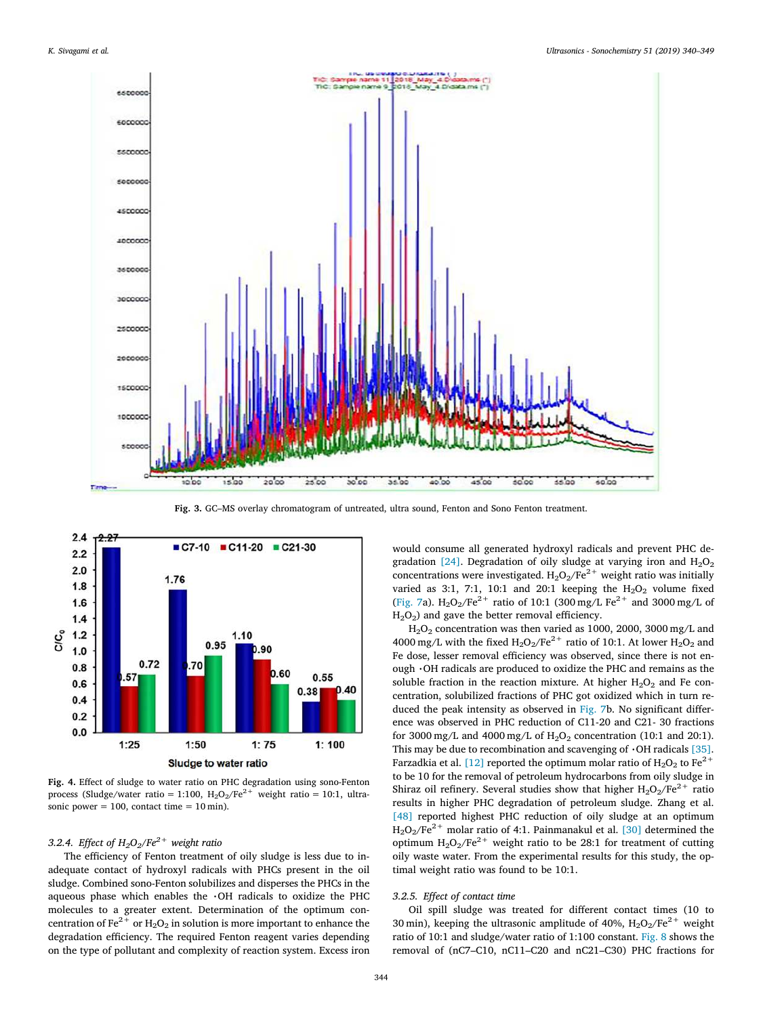<span id="page-4-0"></span>

**Fig. 3.** GC–MS overlay chromatogram of untreated, ultra sound, Fenton and Sono Fenton treatment.

<span id="page-4-1"></span>

**Fig. 4.** Effect of sludge to water ratio on PHC degradation using sono-Fenton process (Sludge/water ratio = 1:100,  $H_2O_2/Fe^{2+}$  weight ratio = 10:1, ultrasonic power =  $100$ , contact time =  $10$  min).

## *3.2.4. Effect of H2O2/Fe2+ weight ratio*

The efficiency of Fenton treatment of oily sludge is less due to inadequate contact of hydroxyl radicals with PHCs present in the oil sludge. Combined sono-Fenton solubilizes and disperses the PHCs in the aqueous phase which enables the  $\cdot$ OH radicals to oxidize the PHC molecules to a greater extent. Determination of the optimum concentration of Fe<sup>2+</sup> or H<sub>2</sub>O<sub>2</sub> in solution is more important to enhance the degradation efficiency. The required Fenton reagent varies depending on the type of pollutant and complexity of reaction system. Excess iron

would consume all generated hydroxyl radicals and prevent PHC de-gradation [\[24\].](#page-8-11) Degradation of oily sludge at varying iron and  $H_2O_2$ concentrations were investigated.  $H_2O_2/Fe^{2+}$  weight ratio was initially varied as 3:1, 7:1, 10:1 and 20:1 keeping the  $H_2O_2$  volume fixed ([Fig. 7](#page-5-2)a).  $H_2O_2/Fe^{2+}$  ratio of 10:1 (300 mg/L Fe<sup>2+</sup> and 3000 mg/L of  $H<sub>2</sub>O<sub>2</sub>$ ) and gave the better removal efficiency.

 $H<sub>2</sub>O<sub>2</sub>$  concentration was then varied as 1000, 2000, 3000 mg/L and 4000 mg/L with the fixed  $H_2O_2/Fe^{2+}$  ratio of 10:1. At lower  $H_2O_2$  and Fe dose, lesser removal efficiency was observed, since there is not enough  $\cdot$ OH radicals are produced to oxidize the PHC and remains as the soluble fraction in the reaction mixture. At higher  $H_2O_2$  and Fe concentration, solubilized fractions of PHC got oxidized which in turn reduced the peak intensity as observed in [Fig. 7b](#page-5-2). No significant difference was observed in PHC reduction of C11-20 and C21- 30 fractions for 3000 mg/L and 4000 mg/L of  $H_2O_2$  concentration (10:1 and 20:1). This may be due to recombination and scavenging of  $\cdot$ OH radicals [\[35\]](#page-8-20). Farzadkia et al. [\[12\]](#page-8-9) reported the optimum molar ratio of  $H_2O_2$  to Fe<sup>2+</sup> to be 10 for the removal of petroleum hydrocarbons from oily sludge in Shiraz oil refinery. Several studies show that higher  $H_2O_2/Fe^{2+}$  ratio results in higher PHC degradation of petroleum sludge. Zhang et al. [\[48\]](#page-9-2) reported highest PHC reduction of oily sludge at an optimum  $H_2O_2/Fe^{2+}$  molar ratio of 4:1. Painmanakul et al. [\[30\]](#page-8-30) determined the optimum  $H_2O_2/Fe^{2+}$  weight ratio to be 28:1 for treatment of cutting oily waste water. From the experimental results for this study, the optimal weight ratio was found to be 10:1.

#### *3.2.5. Effect of contact time*

Oil spill sludge was treated for different contact times (10 to 30 min), keeping the ultrasonic amplitude of 40%,  $H_2O_2/Fe^{2+}$  weight ratio of 10:1 and sludge/water ratio of 1:100 constant. [Fig. 8](#page-5-3) shows the removal of (nC7–C10, nC11–C20 and nC21–C30) PHC fractions for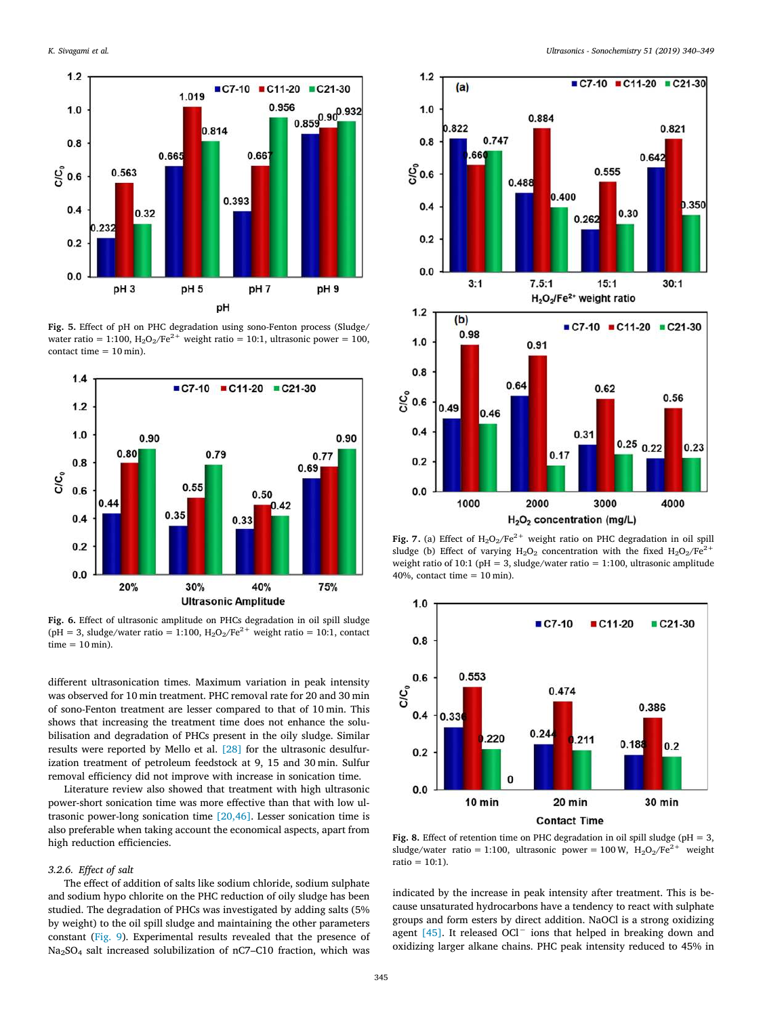<span id="page-5-0"></span>

**Fig. 5.** Effect of pH on PHC degradation using sono-Fenton process (Sludge/ water ratio = 1:100,  $H_2O_2/Fe^{2+}$  weight ratio = 10:1, ultrasonic power = 100, contact time  $= 10$  min).

<span id="page-5-1"></span>

**Fig. 6.** Effect of ultrasonic amplitude on PHCs degradation in oil spill sludge (pH = 3, sludge/water ratio = 1:100,  $H_2O_2/Fe^{2+}$  weight ratio = 10:1, contact  $time = 10 min$ .

different ultrasonication times. Maximum variation in peak intensity was observed for 10 min treatment. PHC removal rate for 20 and 30 min of sono-Fenton treatment are lesser compared to that of 10 min. This shows that increasing the treatment time does not enhance the solubilisation and degradation of PHCs present in the oily sludge. Similar results were reported by Mello et al. [\[28\]](#page-8-29) for the ultrasonic desulfurization treatment of petroleum feedstock at 9, 15 and 30 min. Sulfur removal efficiency did not improve with increase in sonication time.

Literature review also showed that treatment with high ultrasonic power-short sonication time was more effective than that with low ultrasonic power-long sonication time [\[20,46\].](#page-8-31) Lesser sonication time is also preferable when taking account the economical aspects, apart from high reduction efficiencies.

## *3.2.6. Effect of salt*

The effect of addition of salts like sodium chloride, sodium sulphate and sodium hypo chlorite on the PHC reduction of oily sludge has been studied. The degradation of PHCs was investigated by adding salts (5% by weight) to the oil spill sludge and maintaining the other parameters constant([Fig. 9](#page-6-0)). Experimental results revealed that the presence of Na2SO<sup>4</sup> salt increased solubilization of nC7–C10 fraction, which was

<span id="page-5-2"></span>

H<sub>2</sub>O<sub>2</sub> concentration (mg/L)

**Fig. 7.** (a) Effect of  $H_2O_2/Fe^{2+}$  weight ratio on PHC degradation in oil spill sludge (b) Effect of varying  $H_2O_2$  concentration with the fixed  $H_2O_2/Fe^{2+}$ weight ratio of 10:1 ( $pH = 3$ , sludge/water ratio = 1:100, ultrasonic amplitude 40%, contact time  $= 10$  min).

<span id="page-5-3"></span>

**Fig. 8.** Effect of retention time on PHC degradation in oil spill sludge (pH = 3, sludge/water ratio = 1:100, ultrasonic power = 100 W,  $H_2O_2/Fe^{2+}$  weight ratio =  $10:1$ ).

indicated by the increase in peak intensity after treatment. This is because unsaturated hydrocarbons have a tendency to react with sulphate groups and form esters by direct addition. NaOCl is a strong oxidizing agent [\[45\]](#page-9-6). It released OCl<sup>−</sup> ions that helped in breaking down and oxidizing larger alkane chains. PHC peak intensity reduced to 45% in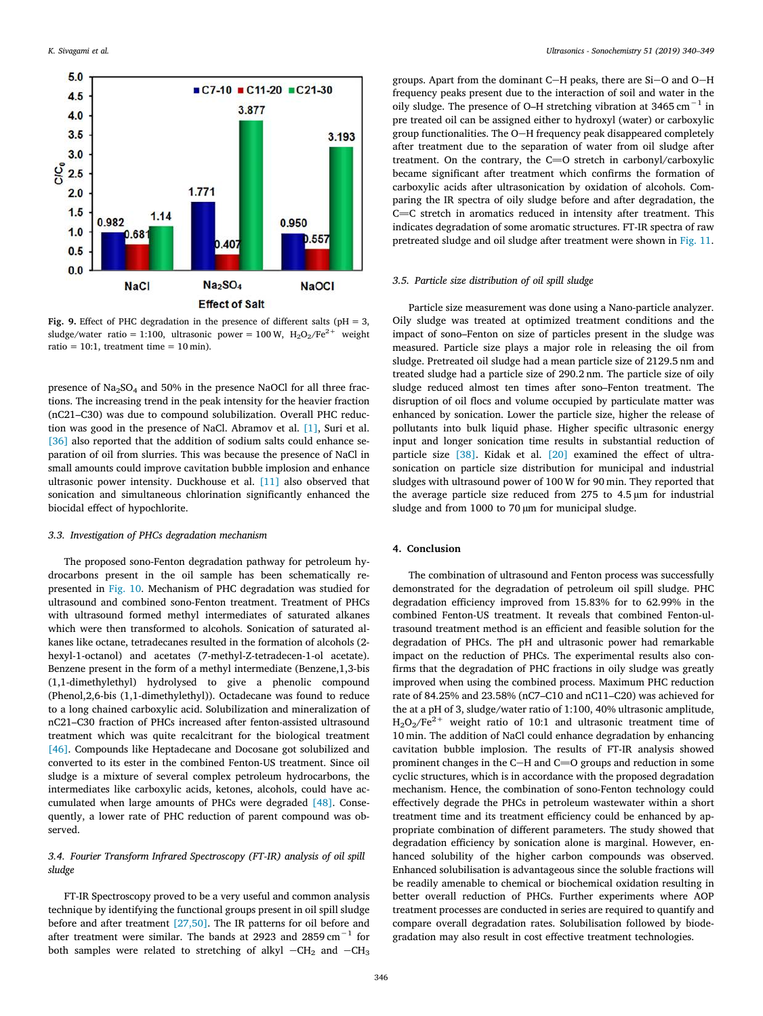<span id="page-6-0"></span>

**Fig. 9.** Effect of PHC degradation in the presence of different salts ( $pH = 3$ , sludge/water ratio = 1:100, ultrasonic power = 100 W,  $H_2O_2/Fe^{2+}$  weight ratio = 10:1, treatment time =  $10$  min).

presence of Na<sub>2</sub>SO<sub>4</sub> and 50% in the presence NaOCl for all three fractions. The increasing trend in the peak intensity for the heavier fraction (nC21–C30) was due to compound solubilization. Overall PHC reduction was good in the presence of NaCl. Abramov et al. [\[1\]](#page-8-32), Suri et al. [\[36\]](#page-8-33) also reported that the addition of sodium salts could enhance separation of oil from slurries. This was because the presence of NaCl in small amounts could improve cavitation bubble implosion and enhance ultrasonic power intensity. Duckhouse et al. [\[11\]](#page-8-34) also observed that sonication and simultaneous chlorination significantly enhanced the biocidal effect of hypochlorite.

#### *3.3. Investigation of PHCs degradation mechanism*

The proposed sono-Fenton degradation pathway for petroleum hydrocarbons present in the oil sample has been schematically represented in [Fig. 10](#page-7-0). Mechanism of PHC degradation was studied for ultrasound and combined sono-Fenton treatment. Treatment of PHCs with ultrasound formed methyl intermediates of saturated alkanes which were then transformed to alcohols. Sonication of saturated alkanes like octane, tetradecanes resulted in the formation of alcohols (2 hexyl-1-octanol) and acetates (7-methyl-Z-tetradecen-1-ol acetate). Benzene present in the form of a methyl intermediate (Benzene,1,3-bis (1,1-dimethylethyl) hydrolysed to give a phenolic compound (Phenol,2,6-bis (1,1-dimethylethyl)). Octadecane was found to reduce to a long chained carboxylic acid. Solubilization and mineralization of nC21–C30 fraction of PHCs increased after fenton-assisted ultrasound treatment which was quite recalcitrant for the biological treatment [\[46\]](#page-9-7). Compounds like Heptadecane and Docosane got solubilized and converted to its ester in the combined Fenton-US treatment. Since oil sludge is a mixture of several complex petroleum hydrocarbons, the intermediates like carboxylic acids, ketones, alcohols, could have accumulated when large amounts of PHCs were degraded [\[48\].](#page-9-2) Consequently, a lower rate of PHC reduction of parent compound was observed.

## *3.4. Fourier Transform Infrared Spectroscopy (FT-IR) analysis of oil spill sludge*

FT-IR Spectroscopy proved to be a very useful and common analysis technique by identifying the functional groups present in oil spill sludge before and after treatment [\[27,50\]](#page-8-35). The IR patterns for oil before and after treatment were similar. The bands at 2923 and 2859 cm−1 for both samples were related to stretching of alkyl  $-CH_2$  and  $-CH_3$ 

groups. Apart from the dominant C-H peaks, there are Si-O and O-H frequency peaks present due to the interaction of soil and water in the oily sludge. The presence of O–H stretching vibration at 3465 cm−1 in pre treated oil can be assigned either to hydroxyl (water) or carboxylic group functionalities. The O-H frequency peak disappeared completely after treatment due to the separation of water from oil sludge after treatment. On the contrary, the  $C=O$  stretch in carbonyl/carboxylic became significant after treatment which confirms the formation of carboxylic acids after ultrasonication by oxidation of alcohols. Comparing the IR spectra of oily sludge before and after degradation, the  $C=C$  stretch in aromatics reduced in intensity after treatment. This indicates degradation of some aromatic structures. FT-IR spectra of raw pretreated sludge and oil sludge after treatment were shown in [Fig. 11](#page-8-36).

#### *3.5. Particle size distribution of oil spill sludge*

Particle size measurement was done using a Nano-particle analyzer. Oily sludge was treated at optimized treatment conditions and the impact of sono–Fenton on size of particles present in the sludge was measured. Particle size plays a major role in releasing the oil from sludge. Pretreated oil sludge had a mean particle size of 2129.5 nm and treated sludge had a particle size of 290.2 nm. The particle size of oily sludge reduced almost ten times after sono–Fenton treatment. The disruption of oil flocs and volume occupied by particulate matter was enhanced by sonication. Lower the particle size, higher the release of pollutants into bulk liquid phase. Higher specific ultrasonic energy input and longer sonication time results in substantial reduction of particle size [\[38\].](#page-8-19) Kidak et al. [\[20\]](#page-8-31) examined the effect of ultrasonication on particle size distribution for municipal and industrial sludges with ultrasound power of 100 W for 90 min. They reported that the average particle size reduced from 275 to 4.5 µm for industrial sludge and from 1000 to 70  $\mu$ m for municipal sludge.

#### **4. Conclusion**

The combination of ultrasound and Fenton process was successfully demonstrated for the degradation of petroleum oil spill sludge. PHC degradation efficiency improved from 15.83% for to 62.99% in the combined Fenton-US treatment. It reveals that combined Fenton-ultrasound treatment method is an efficient and feasible solution for the degradation of PHCs. The pH and ultrasonic power had remarkable impact on the reduction of PHCs. The experimental results also confirms that the degradation of PHC fractions in oily sludge was greatly improved when using the combined process. Maximum PHC reduction rate of 84.25% and 23.58% (nC7–C10 and nC11–C20) was achieved for the at a pH of 3, sludge/water ratio of 1:100, 40% ultrasonic amplitude,  $H_2O_2/Fe^{2+}$  weight ratio of 10:1 and ultrasonic treatment time of 10 min. The addition of NaCl could enhance degradation by enhancing cavitation bubble implosion. The results of FT-IR analysis showed prominent changes in the C-H and C=O groups and reduction in some cyclic structures, which is in accordance with the proposed degradation mechanism. Hence, the combination of sono-Fenton technology could effectively degrade the PHCs in petroleum wastewater within a short treatment time and its treatment efficiency could be enhanced by appropriate combination of different parameters. The study showed that degradation efficiency by sonication alone is marginal. However, enhanced solubility of the higher carbon compounds was observed. Enhanced solubilisation is advantageous since the soluble fractions will be readily amenable to chemical or biochemical oxidation resulting in better overall reduction of PHCs. Further experiments where AOP treatment processes are conducted in series are required to quantify and compare overall degradation rates. Solubilisation followed by biodegradation may also result in cost effective treatment technologies.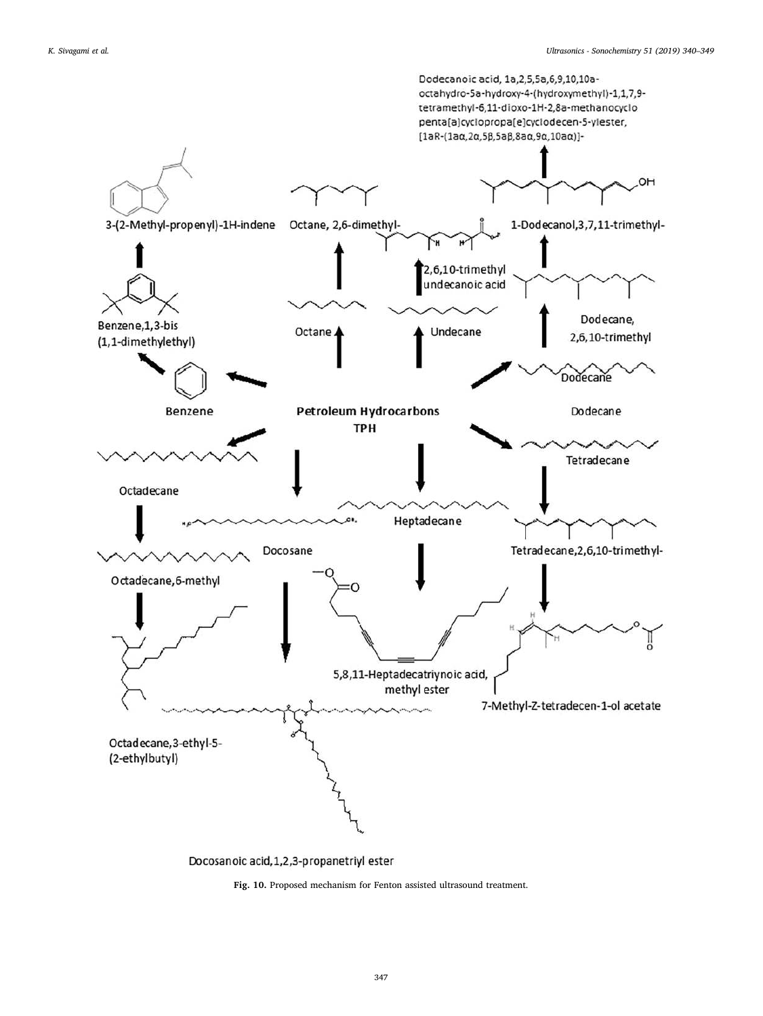<span id="page-7-0"></span>

Docosanoic acid, 1, 2, 3-propanetriyl ester

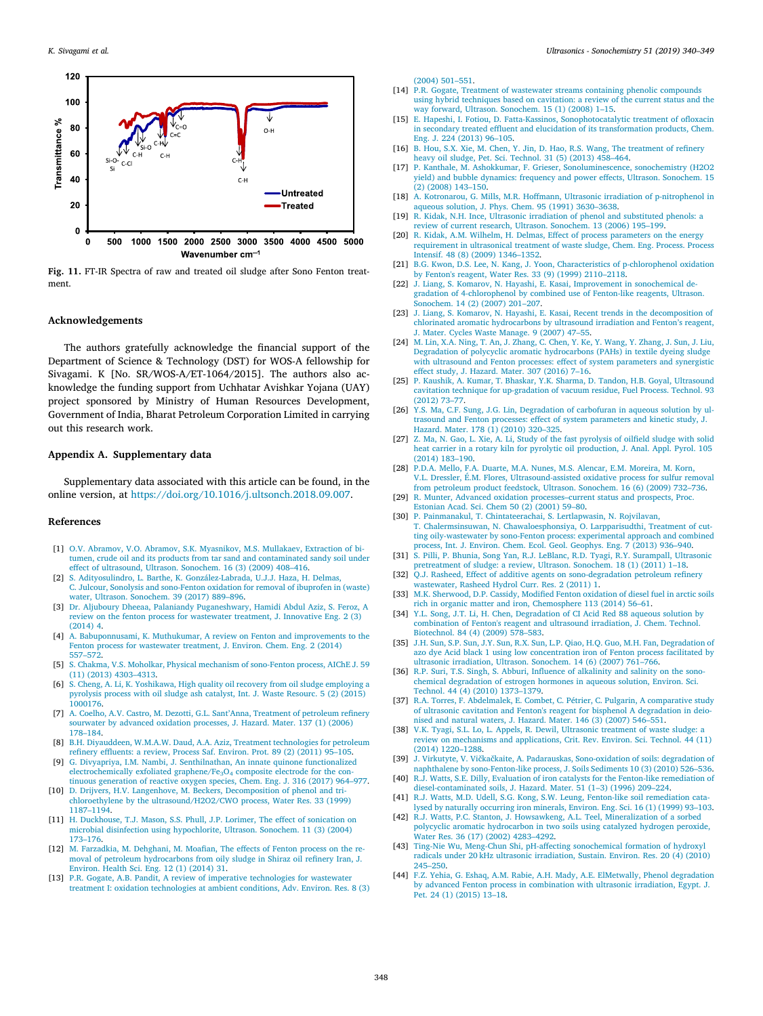<span id="page-8-36"></span>

**Fig. 11.** FT-IR Spectra of raw and treated oil sludge after Sono Fenton treatment.

#### **Acknowledgements**

The authors gratefully acknowledge the financial support of the Department of Science & Technology (DST) for WOS-A fellowship for Sivagami. K [No. SR/WOS-A/ET-1064/2015]. The authors also acknowledge the funding support from Uchhatar Avishkar Yojana (UAY) project sponsored by Ministry of Human Resources Development, Government of India, Bharat Petroleum Corporation Limited in carrying out this research work.

### **Appendix A. Supplementary data**

Supplementary data associated with this article can be found, in the online version, at [https://doi.org/10.1016/j.ultsonch.2018.09.007.](https://doi.org/10.1016/j.ultsonch.2018.09.007)

#### **References**

- <span id="page-8-32"></span>[1] [O.V. Abramov, V.O. Abramov, S.K. Myasnikov, M.S. Mullakaev, Extraction of bi](http://refhub.elsevier.com/S1350-4177(18)31333-6/h0005)[tumen, crude oil and its products from tar sand and contaminated sandy soil under](http://refhub.elsevier.com/S1350-4177(18)31333-6/h0005) [effect of ultrasound, Ultrason. Sonochem. 16 \(3\) \(2009\) 408–416.](http://refhub.elsevier.com/S1350-4177(18)31333-6/h0005)
- [2] [S. Adityosulindro, L. Barthe, K. González-Labrada, U.J.J. Haza, H. Delmas,](http://refhub.elsevier.com/S1350-4177(18)31333-6/h0010) [C. Julcour, Sonolysis and sono-Fenton oxidation for removal of ibuprofen in \(waste\)](http://refhub.elsevier.com/S1350-4177(18)31333-6/h0010) [water, Ultrason. Sonochem. 39 \(2017\) 889–896.](http://refhub.elsevier.com/S1350-4177(18)31333-6/h0010)
- <span id="page-8-6"></span>[3] [Dr. Aljuboury Dheeaa, Palaniandy Puganeshwary, Hamidi Abdul Aziz, S. Feroz, A](http://refhub.elsevier.com/S1350-4177(18)31333-6/h0015) [review on the fenton process for wastewater treatment, J. Innovative](http://refhub.elsevier.com/S1350-4177(18)31333-6/h0015) Eng. 2 (3) [\(2014\) 4.](http://refhub.elsevier.com/S1350-4177(18)31333-6/h0015)
- <span id="page-8-5"></span>[4] [A. Babuponnusami, K. Muthukumar, A review on Fenton and improvements](http://refhub.elsevier.com/S1350-4177(18)31333-6/h0020) to the [Fenton process for wastewater treatment, J. Environ. Chem. Eng. 2 \(2014\)](http://refhub.elsevier.com/S1350-4177(18)31333-6/h0020) [557–572.](http://refhub.elsevier.com/S1350-4177(18)31333-6/h0020)
- <span id="page-8-12"></span>[5] [S. Chakma, V.S. Moholkar, Physical mechanism of sono-Fenton process, AIChE J. 59](http://refhub.elsevier.com/S1350-4177(18)31333-6/h0025) [\(11\) \(2013\) 4303–4313.](http://refhub.elsevier.com/S1350-4177(18)31333-6/h0025)
- <span id="page-8-16"></span>[6] [S. Cheng, A. Li, K. Yoshikawa, High quality oil recovery from oil sludge employing a](http://refhub.elsevier.com/S1350-4177(18)31333-6/h0030) [pyrolysis process with oil sludge ash catalyst, Int. J. Waste Resourc. 5 \(2\) \(2015\)](http://refhub.elsevier.com/S1350-4177(18)31333-6/h0030) [1000176.](http://refhub.elsevier.com/S1350-4177(18)31333-6/h0030)
- <span id="page-8-7"></span>[7] [A. Coelho, A.V. Castro, M. Dezotti, G.L. Sant'Anna, Treatment of petroleum](http://refhub.elsevier.com/S1350-4177(18)31333-6/h0035) refinery [sourwater by advanced oxidation processes, J. Hazard. Mater. 137 \(1\) \(2006\)](http://refhub.elsevier.com/S1350-4177(18)31333-6/h0035) [178–184.](http://refhub.elsevier.com/S1350-4177(18)31333-6/h0035)
- <span id="page-8-1"></span>[8] [B.H. Diyauddeen, W.M.A.W. Daud, A.A. Aziz, Treatment technologies](http://refhub.elsevier.com/S1350-4177(18)31333-6/h0040) for petroleum [refinery effluents: a review, Process Saf. Environ. Prot. 89 \(2\) \(2011\) 95–105.](http://refhub.elsevier.com/S1350-4177(18)31333-6/h0040)
- <span id="page-8-10"></span>[9] [G. Divyapriya, I.M. Nambi, J. Senthilnathan, An innate quinone functionalized](http://refhub.elsevier.com/S1350-4177(18)31333-6/h0045) [electrochemically exfoliated graphene/Fe](http://refhub.elsevier.com/S1350-4177(18)31333-6/h0045)<sub>3</sub>O<sub>4</sub> composite electrode for the con[tinuous generation of reactive oxygen species, Chem. Eng. J. 316 \(2017\) 964–977.](http://refhub.elsevier.com/S1350-4177(18)31333-6/h0045)
- [10] [D. Drijvers, H.V. Langenhove, M. Beckers, Decomposition of phenol and tri](http://refhub.elsevier.com/S1350-4177(18)31333-6/h0050)[chloroethylene by the ultrasound/H2O2/CWO process, Water Res. 33 \(1999\)](http://refhub.elsevier.com/S1350-4177(18)31333-6/h0050) [1187–1194.](http://refhub.elsevier.com/S1350-4177(18)31333-6/h0050)
- <span id="page-8-34"></span>[11] [H. Duckhouse, T.J. Mason, S.S. Phull, J.P. Lorimer, The effect of sonication on](http://refhub.elsevier.com/S1350-4177(18)31333-6/h0055) [microbial disinfection using hypochlorite, Ultrason. Sonochem. 11 \(3\) \(2004\)](http://refhub.elsevier.com/S1350-4177(18)31333-6/h0055) [173–176.](http://refhub.elsevier.com/S1350-4177(18)31333-6/h0055)
- <span id="page-8-9"></span>[12] [M. Farzadkia, M. Dehghani, M. Moafian, The effects of Fenton process on the re](http://refhub.elsevier.com/S1350-4177(18)31333-6/h0060)[moval of petroleum hydrocarbons from oily sludge in Shiraz oil refinery Iran, J.](http://refhub.elsevier.com/S1350-4177(18)31333-6/h0060)
- [Environ. Health Sci. Eng. 12 \(1\) \(2014\) 31.](http://refhub.elsevier.com/S1350-4177(18)31333-6/h0060) [13] [P.R. Gogate, A.B. Pandit, A review of imperative technologies for wastewater](http://refhub.elsevier.com/S1350-4177(18)31333-6/h0065) [treatment I: oxidation technologies at ambient conditions, Adv. Environ.](http://refhub.elsevier.com/S1350-4177(18)31333-6/h0065) Res. 8 (3)

[\(2004\) 501–551.](http://refhub.elsevier.com/S1350-4177(18)31333-6/h0065)

- <span id="page-8-3"></span>[14] [P.R. Gogate, Treatment of wastewater streams containing phenolic compounds](http://refhub.elsevier.com/S1350-4177(18)31333-6/h0070) [using hybrid techniques based on cavitation: a review of the current status and the](http://refhub.elsevier.com/S1350-4177(18)31333-6/h0070) [way forward, Ultrason. Sonochem. 15 \(1\) \(2008\) 1–15.](http://refhub.elsevier.com/S1350-4177(18)31333-6/h0070)
- <span id="page-8-25"></span>[15] [E. Hapeshi, I. Fotiou, D. Fatta-Kassinos, Sonophotocatalytic treatment of ofloxacin](http://refhub.elsevier.com/S1350-4177(18)31333-6/h0080) [in secondary treated effluent and elucidation of its transformation products, Chem.](http://refhub.elsevier.com/S1350-4177(18)31333-6/h0080) [Eng. J. 224 \(2013\) 96–105.](http://refhub.elsevier.com/S1350-4177(18)31333-6/h0080)
- <span id="page-8-0"></span>[16] [B. Hou, S.X. Xie, M. Chen, Y. Jin, D. Hao, R.S. Wang, The treatment of refinery](http://refhub.elsevier.com/S1350-4177(18)31333-6/h0085) [heavy oil sludge, Pet. Sci. Technol. 31 \(5\) \(2013\) 458–464.](http://refhub.elsevier.com/S1350-4177(18)31333-6/h0085)
- <span id="page-8-28"></span>[17] [P. Kanthale, M. Ashokkumar, F. Grieser, Sonoluminescence, sonochemistry](http://refhub.elsevier.com/S1350-4177(18)31333-6/h0090) (H2O2 [yield\) and bubble dynamics: frequency and power effects, Ultrason. Sonochem. 15](http://refhub.elsevier.com/S1350-4177(18)31333-6/h0090) [\(2\) \(2008\) 143–150.](http://refhub.elsevier.com/S1350-4177(18)31333-6/h0090)
- <span id="page-8-4"></span>[18] [A. Kotronarou, G. Mills, M.R. Hoffmann, Ultrasonic irradiation of p-nitrophenol in](http://refhub.elsevier.com/S1350-4177(18)31333-6/h0100) [aqueous solution, J. Phys. Chem. 95 \(1991\) 3630–3638.](http://refhub.elsevier.com/S1350-4177(18)31333-6/h0100)
- [19] [R. Kidak, N.H. Ince, Ultrasonic irradiation of phenol and substituted phenols: a](http://refhub.elsevier.com/S1350-4177(18)31333-6/h0105) [review of current research, Ultrason. Sonochem. 13 \(2006\) 195–199.](http://refhub.elsevier.com/S1350-4177(18)31333-6/h0105)
- <span id="page-8-31"></span>[20] [R. Kidak, A.M. Wilhelm, H. Delmas, Effect of process parameters on the energy](http://refhub.elsevier.com/S1350-4177(18)31333-6/h0110) [requirement in ultrasonical treatment of waste sludge, Chem. Eng. Process. Process](http://refhub.elsevier.com/S1350-4177(18)31333-6/h0110) [Intensif. 48 \(8\) \(2009\) 1346–1352.](http://refhub.elsevier.com/S1350-4177(18)31333-6/h0110)
- <span id="page-8-26"></span>[21] [B.G. Kwon, D.S. Lee, N. Kang, J. Yoon, Characteristics of p-chlorophenol oxidation](http://refhub.elsevier.com/S1350-4177(18)31333-6/h0115) [by Fenton's reagent, Water Res. 33 \(9\) \(1999\) 2110–2118.](http://refhub.elsevier.com/S1350-4177(18)31333-6/h0115)
- [22] [J. Liang, S. Komarov, N. Hayashi, E. Kasai, Improvement in sonochemical de](http://refhub.elsevier.com/S1350-4177(18)31333-6/h0125)[gradation of 4-chlorophenol by combined use of Fenton-like reagents, Ultrason.](http://refhub.elsevier.com/S1350-4177(18)31333-6/h0125) [Sonochem. 14 \(2\) \(2007\) 201–207.](http://refhub.elsevier.com/S1350-4177(18)31333-6/h0125)
- <span id="page-8-14"></span>[23] [J. Liang, S. Komarov, N. Hayashi, E. Kasai, Recent trends in the decomposition of](http://refhub.elsevier.com/S1350-4177(18)31333-6/h0130) [chlorinated aromatic hydrocarbons by ultrasound irradiation and Fenton's reagent,](http://refhub.elsevier.com/S1350-4177(18)31333-6/h0130) [J. Mater. Cycles Waste Manage. 9 \(2007\) 47–55.](http://refhub.elsevier.com/S1350-4177(18)31333-6/h0130)
- <span id="page-8-11"></span>[24] [M. Lin, X.A. Ning, T. An, J. Zhang, C. Chen, Y. Ke, Y. Wang, Y. Zhang, J.](http://refhub.elsevier.com/S1350-4177(18)31333-6/h0135) Sun, J. Liu, [Degradation of polycyclic aromatic hydrocarbons \(PAHs\) in textile dyeing sludge](http://refhub.elsevier.com/S1350-4177(18)31333-6/h0135) [with ultrasound and Fenton processes: effect of system parameters and synergistic](http://refhub.elsevier.com/S1350-4177(18)31333-6/h0135) [effect study, J. Hazard. Mater. 307 \(2016\) 7–16.](http://refhub.elsevier.com/S1350-4177(18)31333-6/h0135)
- <span id="page-8-17"></span>[25] [P. Kaushik, A. Kumar, T. Bhaskar, Y.K. Sharma, D. Tandon, H.B. Goyal, Ultrasound](http://refhub.elsevier.com/S1350-4177(18)31333-6/h0140) [cavitation technique for up-gradation of vacuum residue, Fuel Process.](http://refhub.elsevier.com/S1350-4177(18)31333-6/h0140) Technol. 93 [\(2012\) 73–77.](http://refhub.elsevier.com/S1350-4177(18)31333-6/h0140)
- <span id="page-8-22"></span>[26] [Y.S. Ma, C.F. Sung, J.G. Lin, Degradation of carbofuran in aqueous solution by ul](http://refhub.elsevier.com/S1350-4177(18)31333-6/h0145)[trasound and Fenton processes: effect of system parameters and kinetic study, J.](http://refhub.elsevier.com/S1350-4177(18)31333-6/h0145) Hazard. Mater. 178 (1) (2010) 320-325
- <span id="page-8-35"></span>[27] [Z. Ma, N. Gao, L. Xie, A. Li, Study of the fast pyrolysis of oilfield sludge with solid](http://refhub.elsevier.com/S1350-4177(18)31333-6/h0150) [heat carrier in a rotary kiln for pyrolytic oil production, J. Anal. Appl. Pyrol. 105](http://refhub.elsevier.com/S1350-4177(18)31333-6/h0150) [\(2014\) 183–190.](http://refhub.elsevier.com/S1350-4177(18)31333-6/h0150)
- <span id="page-8-29"></span>[28] [P.D.A. Mello, F.A. Duarte, M.A. Nunes, M.S. Alencar, E.M. Moreira, M. Korn,](http://refhub.elsevier.com/S1350-4177(18)31333-6/h0155) [V.L. Dressler, É.M. Flores, Ultrasound-assisted oxidative process for sulfur removal](http://refhub.elsevier.com/S1350-4177(18)31333-6/h0155) [from petroleum product feedstock, Ultrason. Sonochem. 16 \(6\) \(2009\) 732–736.](http://refhub.elsevier.com/S1350-4177(18)31333-6/h0155)
- <span id="page-8-27"></span>[29] [R. Munter, Advanced oxidation processes–current status and prospects, Proc.](http://refhub.elsevier.com/S1350-4177(18)31333-6/h0160) [Estonian Acad. Sci. Chem 50 \(2\) \(2001\) 59–80.](http://refhub.elsevier.com/S1350-4177(18)31333-6/h0160)
- <span id="page-8-30"></span>[30] [P. Painmanakul, T. Chintateerachai, S. Lertlapwasin, N. Rojvilavan,](http://refhub.elsevier.com/S1350-4177(18)31333-6/h0165) [T. Chalermsinsuwan, N. Chawaloesphonsiya, O. Larpparisudthi, Treatment of cut](http://refhub.elsevier.com/S1350-4177(18)31333-6/h0165)[ting oily-wastewater by sono-Fenton process: experimental approach and combined](http://refhub.elsevier.com/S1350-4177(18)31333-6/h0165) [process, Int. J. Environ. Chem. Ecol. Geol. Geophys. Eng. 7 \(2013\) 936–940.](http://refhub.elsevier.com/S1350-4177(18)31333-6/h0165)
- <span id="page-8-23"></span>[31] [S. Pilli, P. Bhunia, Song Yan, R.J. LeBlanc, R.D. Tyagi, R.Y. Surampall, Ultrasonic](http://refhub.elsevier.com/S1350-4177(18)31333-6/h0170) [pretreatment of sludge: a review, Ultrason. Sonochem. 18 \(1\) \(2011\) 1–18.](http://refhub.elsevier.com/S1350-4177(18)31333-6/h0170) [32] [Q.J. Rasheed, Effect of additive agents on sono-degradation petroleum refinery](http://refhub.elsevier.com/S1350-4177(18)31333-6/h0175)
- [wastewater, Rasheed Hydrol Curr. Res. 2 \(2011\) 1.](http://refhub.elsevier.com/S1350-4177(18)31333-6/h0175) [33] [M.K. Sherwood, D.P. Cassidy, Modified Fenton oxidation of diesel fuel in arctic soils](http://refhub.elsevier.com/S1350-4177(18)31333-6/h0180)
- <span id="page-8-2"></span>[rich in organic matter and iron, Chemosphere 113 \(2014\) 56–61.](http://refhub.elsevier.com/S1350-4177(18)31333-6/h0180)
- <span id="page-8-15"></span>[34] [Y.L. Song, J.T. Li, H. Chen, Degradation of CI Acid Red 88 aqueous solution by](http://refhub.elsevier.com/S1350-4177(18)31333-6/h0185) [combination of Fenton's reagent and ultrasound irradiation, J. Chem. Technol.](http://refhub.elsevier.com/S1350-4177(18)31333-6/h0185) [Biotechnol. 84 \(4\) \(2009\) 578–583.](http://refhub.elsevier.com/S1350-4177(18)31333-6/h0185)
- <span id="page-8-20"></span>[35] [J.H. Sun, S.P. Sun, J.Y. Sun, R.X. Sun, L.P. Qiao, H.Q. Guo, M.H. Fan, Degradation of](http://refhub.elsevier.com/S1350-4177(18)31333-6/h0190) [azo dye Acid black 1 using low concentration iron of Fenton process facilitated by](http://refhub.elsevier.com/S1350-4177(18)31333-6/h0190) [ultrasonic irradiation, Ultrason. Sonochem. 14 \(6\) \(2007\) 761–766.](http://refhub.elsevier.com/S1350-4177(18)31333-6/h0190)
- <span id="page-8-33"></span>[36] [R.P. Suri, T.S. Singh, S. Abburi, Influence of alkalinity and salinity on](http://refhub.elsevier.com/S1350-4177(18)31333-6/h0195) the sono[chemical degradation of estrogen hormones in aqueous solution, Environ. Sci.](http://refhub.elsevier.com/S1350-4177(18)31333-6/h0195) [Technol. 44 \(4\) \(2010\) 1373–1379.](http://refhub.elsevier.com/S1350-4177(18)31333-6/h0195)
- [37] [R.A. Torres, F. Abdelmalek, E. Combet, C. Pétrier, C. Pulgarin, A comparative study](http://refhub.elsevier.com/S1350-4177(18)31333-6/h0200) [of ultrasonic cavitation and Fenton's reagent for bisphenol A degradation in deio](http://refhub.elsevier.com/S1350-4177(18)31333-6/h0200)[nised and natural waters, J. Hazard. Mater. 146 \(3\) \(2007\) 546–551.](http://refhub.elsevier.com/S1350-4177(18)31333-6/h0200)
- <span id="page-8-19"></span>[38] [V.K. Tyagi, S.L. Lo, L. Appels, R. Dewil, Ultrasonic treatment of waste](http://refhub.elsevier.com/S1350-4177(18)31333-6/h0205) sludge: a [review on mechanisms and applications, Crit. Rev. Environ. Sci. Technol. 44 \(11\)](http://refhub.elsevier.com/S1350-4177(18)31333-6/h0205) [\(2014\) 1220–1288.](http://refhub.elsevier.com/S1350-4177(18)31333-6/h0205)
- <span id="page-8-13"></span>[39] [J. Virkutyte, V. Vičkačkaite, A. Padarauskas, Sono-oxidation of soils: degradation of](http://refhub.elsevier.com/S1350-4177(18)31333-6/h0210) [naphthalene by sono-Fenton-like process, J. Soils Sediments 10 \(3\) \(2010\) 526–536.](http://refhub.elsevier.com/S1350-4177(18)31333-6/h0210) [40] [R.J. Watts, S.E. Dilly, Evaluation of iron catalysts for the Fenton-like remediation of](http://refhub.elsevier.com/S1350-4177(18)31333-6/h0215)
- <span id="page-8-8"></span>[diesel-contaminated soils, J. Hazard. Mater. 51 \(1–3\) \(1996\) 209–224.](http://refhub.elsevier.com/S1350-4177(18)31333-6/h0215)
- <span id="page-8-18"></span>[41] [R.J. Watts, M.D. Udell, S.G. Kong, S.W. Leung, Fenton-like soil remediation cata](http://refhub.elsevier.com/S1350-4177(18)31333-6/h0220)[lysed by naturally occurring iron minerals, Environ. Eng. Sci. 16 \(1\) \(1999\) 93–103.](http://refhub.elsevier.com/S1350-4177(18)31333-6/h0220) [42] [R.J. Watts, P.C. Stanton, J. Howsawkeng, A.L. Teel, Mineralization of a](http://refhub.elsevier.com/S1350-4177(18)31333-6/h0225) sorbed
- [polycyclic aromatic hydrocarbon in two soils using catalyzed hydrogen](http://refhub.elsevier.com/S1350-4177(18)31333-6/h0225) peroxide, [Water Res. 36 \(17\) \(2002\) 4283–4292.](http://refhub.elsevier.com/S1350-4177(18)31333-6/h0225)
- <span id="page-8-24"></span>[43] [Ting-Nie Wu, Meng-Chun Shi, pH-affecting sonochemical formation of hydroxyl](http://refhub.elsevier.com/S1350-4177(18)31333-6/h0230) [radicals under 20 kHz ultrasonic irradiation, Sustain. Environ. Res. 20 \(4\) \(2010\)](http://refhub.elsevier.com/S1350-4177(18)31333-6/h0230) [245–250.](http://refhub.elsevier.com/S1350-4177(18)31333-6/h0230)
- <span id="page-8-21"></span>[44] [F.Z. Yehia, G. Eshaq, A.M. Rabie, A.H. Mady, A.E. ElMetwally, Phenol degradation](http://refhub.elsevier.com/S1350-4177(18)31333-6/h0235) [by advanced Fenton process in combination with ultrasonic irradiation,](http://refhub.elsevier.com/S1350-4177(18)31333-6/h0235) Egypt. J. Pet. 24 (1) (2015) 13-18.